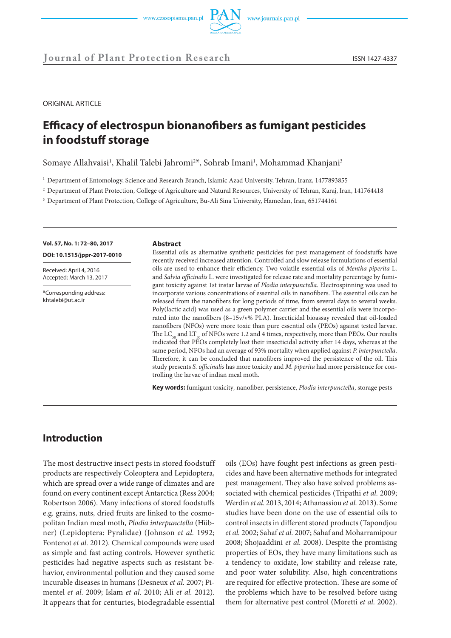



**Journal of Plant Protection Research** ISSN 1427-4337

ORIGINAL ARTICLE

# **Efficacy of electrospun bionanofibers as fumigant pesticides in foodstuff storage**

Somaye Allahvaisi<sup>1</sup>, Khalil Talebi Jahromi<sup>2\*</sup>, Sohrab Imani<sup>1</sup>, Mohammad Khanjani<sup>3</sup>

1 Department of Entomology, Science and Research Branch, Islamic Azad University, Tehran, Iranz, 1477893855

2 Department of Plant Protection, College of Agriculture and Natural Resources, University of Tehran, Karaj, Iran, 141764418

3 Department of Plant Protection, College of Agriculture, Bu-Ali Sina University, Hamedan, Iran, 651744161

**Vol. 57, No. 1: 72–80, 2017** 

**DOI: 10.1515/jppr-2017-0010**

Received: April 4, 2016 Accepted: March 13, 2017

\*Corresponding address: khtalebi@ut.ac.ir

#### **Abstract**

Essential oils as alternative synthetic pesticides for pest management of foodstuffs have recently received increased attention. Controlled and slow release formulations of essential oils are used to enhance their efficiency. Two volatile essential oils of *Mentha piperita* L. and *Salvia officinalis* L. were investigated for release rate and mortality percentage by fumigant toxicity against 1st instar larvae of *Plodia interpunctella*. Electrospinning was used to incorporate various concentrations of essential oils in nanofibers. The essential oils can be released from the nanofibers for long periods of time, from several days to several weeks. Poly(lactic acid) was used as a green polymer carrier and the essential oils were incorporated into the nanofibers (8-15v/v% PLA). Insecticidal bioassay revealed that oil-loaded nanofibers (NFOs) were more toxic than pure essential oils (PEOs) against tested larvae. The  $LC_{50}$  and  $LT_{50}$  of NFOs were 1.2 and 4 times, respectively, more than PEOs. Our results indicated that PEOs completely lost their insecticidal activity after 14 days, whereas at the same period, NFOs had an average of 93% mortality when applied against *P. interpunctella*. Therefore, it can be concluded that nanofibers improved the persistence of the oil. This study presents *S. officinalis* has more toxicity and *M. piperita* had more persistence for controlling the larvae of indian meal moth.

Key words: fumigant toxicity, nanofiber, persistence, *Plodia interpunctella*, storage pests

# **Introduction**

The most destructive insect pests in stored foodstuff products are respectively Coleoptera and Lepidoptera, which are spread over a wide range of climates and are found on every continent except Antarctica (Ress 2004; Robertson 2006). Many infections of stored foodstuffs e.g. grains, nuts, dried fruits are linked to the cosmopolitan Indian meal moth, *Plodia interpunctella* (Hübner) (Lepidoptera: Pyralidae) (Johnson *et al.* 1992; Fontenot *et al.* 2012). Chemical compounds were used as simple and fast acting controls. However synthetic pesticides had negative aspects such as resistant behavior, environmental pollution and they caused some incurable diseases in humans (Desneux *et al.* 2007; Pimentel *et al*. 2009; Islam *et al*. 2010; Ali *et al.* 2012). It appears that for centuries, biodegradable essential

oils (EOs) have fought pest infections as green pesticides and have been alternative methods for integrated pest management. They also have solved problems associated with chemical pesticides (Tripathi *et al.* 2009; Werdin *et al.* 2013, 2014; Athanassiou *et al.* 2013). Some studies have been done on the use of essential oils to control insects in different stored products (Tapondjou *et al.* 2002; Sahaf *et al.* 2007; Sahaf and Moharramipour 2008; Shojaaddini *et al.* 2008). Despite the promising properties of EOs, they have many limitations such as a tendency to oxidate, low stability and release rate, and poor water solubility. Also, high concentrations are required for effective protection. These are some of the problems which have to be resolved before using them for alternative pest control (Moretti *et al.* 2002).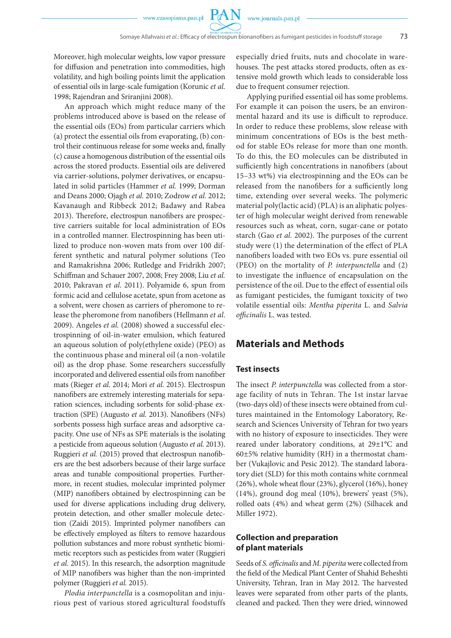PAN

Moreover, high molecular weights, low vapor pressure for diffusion and penetration into commodities, high volatility, and high boiling points limit the application of essential oils in large-scale fumigation (Korunic *et al.* 1998; Rajendran and Sriranjini 2008).

An approach which might reduce many of the problems introduced above is based on the release of the essential oils (EOs) from particular carriers which (a) protect the essential oils from evaporating, (b) control their continuous release for some weeks and, finally (c) cause a homogenous distribution of the essential oils across the stored products. Essential oils are delivered via carrier-solutions, polymer derivatives, or encapsulated in solid particles (Hammer *et al.* 1999; Dorman and Deans 2000; Ojagh *et al.* 2010; Zodrow *et al.* 2012; Kavanaugh and Ribbeck 2012; Badawy and Rabea 2013). Therefore, electrospun nanofibers are prospective carriers suitable for local administration of EOs in a controlled manner. Electrospinning has been utilized to produce non-woven mats from over 100 different synthetic and natural polymer solutions (Teo and Ramakrishna 2006; Rutledge and Fridrikh 2007; Schiffman and Schauer 2007, 2008; Frey 2008; Liu et al. 2010; Pakravan *et al*. 2011). Polyamide 6, spun from formic acid and cellulose acetate, spun from acetone as a solvent, were chosen as carriers of pheromone to release the pheromone from nanofibers (Hellmann et al. 2009). Angeles *et al.* (2008) showed a successful electrospinning of oil-in-water emulsion, which featured an aqueous solution of poly(ethylene oxide) (PEO) as the continuous phase and mineral oil (a non-volatile oil) as the drop phase. Some researchers successfully incorporated and delivered essential oils from nanofiber mats (Rieger *et al.* 2014; Mori *et al.* 2015). Electrospun nanofibers are extremely interesting materials for separation sciences, including sorbents for solid-phase extraction (SPE) (Augusto *et al.* 2013). Nanofibers (NFs) sorbents possess high surface areas and adsorptive capacity. One use of NFs as SPE materials is the isolating a pesticide from aqueous solution (Augusto *et al.* 2013). Ruggieri et al. (2015) proved that electrospun nanofibers are the best adsorbers because of their large surface areas and tunable compositional properties. Furthermore, in recent studies, molecular imprinted polymer (MIP) nanofibers obtained by electrospinning can be used for diverse applications including drug delivery, protein detection, and other smaller molecule detection (Zaidi 2015). Imprinted polymer nanofibers can be effectively employed as filters to remove hazardous pollution substances and more robust synthetic biomimetic receptors such as pesticides from water (Ruggieri *et al.* 2015). In this research, the adsorption magnitude of MIP nanofibers was higher than the non-imprinted polymer (Ruggieri *et al.* 2015).

*Plodia interpunctella* is a cosmopolitan and injurious pest of various stored agricultural foodstuffs especially dried fruits, nuts and chocolate in warehouses. The pest attacks stored products, often as extensive mold growth which leads to considerable loss due to frequent consumer rejection.

Applying purified essential oil has some problems. For example it can poison the users, be an environmental hazard and its use is difficult to reproduce. In order to reduce these problems, slow release with minimum concentrations of EOs is the best method for stable EOs release for more than one month. To do this, the EO molecules can be distributed in sufficiently high concentrations in nanofibers (about 15–33 wt%) via electrospinning and the EOs can be released from the nanofibers for a sufficiently long time, extending over several weeks. The polymeric material poly(lactic acid) (PLA) is an aliphatic polyester of high molecular weight derived from renewable resources such as wheat, corn, sugar-cane or potato starch (Gao *et al.* 2002). The purposes of the current study were (1) the determination of the effect of PLA nanofibers loaded with two EOs vs. pure essential oil (PEO) on the mortality of *P. interpunctella* and (2) to investigate the influence of encapsulation on the persistence of the oil. Due to the effect of essential oils as fumigant pesticides, the fumigant toxicity of two volatile essential oils: *Mentha piperita* L. and *Salvia offi cinalis* L. was tested.

## **Materials and Methods**

#### **Test insects**

The insect *P. interpunctella* was collected from a storage facility of nuts in Tehran. The 1st instar larvae (two-days old) of these insects were obtained from cultures maintained in the Entomology Laboratory, Research and Sciences University of Tehran for two years with no history of exposure to insecticides. They were reared under laboratory conditions, at 29±1°C and 60±5% relative humidity (RH) in a thermostat chamber (Vukajlovic and Pesic 2012). The standard laboratory diet (SLD) for this moth contains white cornmeal  $(26%)$ , whole wheat flour  $(23%)$ , glycerol  $(16%)$ , honey (14%), ground dog meal (10%), brewers' yeast (5%), rolled oats (4%) and wheat germ (2%) (Silhacek and Miller 1972).

### **Collection and preparation of plant materials**

Seeds of *S. officinalis* and *M. piperita* were collected from the field of the Medical Plant Center of Shahid Beheshti University, Tehran, Iran in May 2012. The harvested leaves were separated from other parts of the plants, cleaned and packed. Then they were dried, winnowed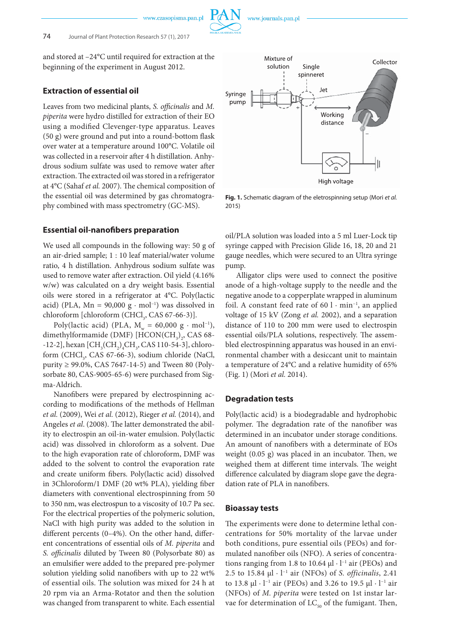

and stored at –24°C until required for extraction at the beginning of the experiment in August 2012.

#### **Extraction of essential oil**

Leaves from two medicinal plants, *S. officinalis* and *M*. *piperita* were hydro distilled for extraction of their EO using a modified Clevenger-type apparatus. Leaves (50 g) were ground and put into a round-bottom flask over water at a temperature around 100°C. Volatile oil was collected in a reservoir after 4 h distillation. Anhydrous sodium sulfate was used to remove water after extraction. The extracted oil was stored in a refrigerator at 4°C (Sahaf et al. 2007). The chemical composition of the essential oil was determined by gas chromatography combined with mass spectrometry (GC-MS).

#### **Essential oil-nanofibers preparation**

We used all compounds in the following way: 50 g of an air-dried sample; 1 : 10 leaf material/water volume ratio, 4 h distillation. Anhydrous sodium sulfate was used to remove water after extraction. Oil yield (4.16%) w/w) was calculated on a dry weight basis. Essential oils were stored in a refrigerator at 4°C. Poly(lactic acid) (PLA, Mn = 90,000 g · mol<sup>-1</sup>) was dissolved in chloroform [chloroform  $\left[CHCl_{3}$ , CAS 67-66-3)].

Poly(lactic acid) (PLA,  $M_w = 60,000 \text{ g} \cdot \text{mol}^{-1}$ ), dimethylformamide (DMF) [HCON(CH<sub>3</sub>)<sub>2</sub>, CAS 68--12-2], hexan  $[\text{CH}_3(\text{CH}_2)_4\text{CH}_3$ , CAS 110-54-3], chloroform (CHCl<sub>3</sub>, CAS 67-66-3), sodium chloride (NaCl, purity ≥ 99.0%, CAS 7647-14-5) and Tween 80 (Polysorbate 80, CAS-9005-65-6) were purchased from Sigma-Aldrich.

Nanofibers were prepared by electrospinning according to modifications of the methods of Hellman *et al.* (2009), Wei *et al.* (2012), Rieger *et al.* (2014), and Angeles *et al.* (2008). The latter demonstrated the ability to electrospin an oil-in-water emulsion. Poly(lactic acid) was dissolved in chloroform as a solvent. Due to the high evaporation rate of chloroform, DMF was added to the solvent to control the evaporation rate and create uniform fibers. Poly(lactic acid) dissolved in 3Chloroform/1 DMF (20 wt% PLA), yielding fiber diameters with conventional electrospinning from 50 to 350 nm, was electrospun to a viscosity of 10.7 Pa sec. For the electrical properties of the polymeric solution, NaCl with high purity was added to the solution in different percents  $(0-4%)$ . On the other hand, different concentrations of essential oils of *M. piperita* and *S. officinalis* diluted by Tween 80 (Polysorbate 80) as an emulsifier were added to the prepared pre-polymer solution yielding solid nanofibers with up to 22 wt% of essential oils. The solution was mixed for 24 h at 20 rpm via an Arma-Rotator and then the solution was changed from transparent to white. Each essential



Fig. 1. Schematic diagram of the eletrospinning setup (Mori et al. 2015)

oil/PLA solution was loaded into a 5 ml Luer-Lock tip syringe capped with Precision Glide 16, 18, 20 and 21 gauge needles, which were secured to an Ultra syringe pump.

Alligator clips were used to connect the positive anode of a high-voltage supply to the needle and the negative anode to a copperplate wrapped in aluminum foil. A constant feed rate of 60  $l \cdot min^{-1}$ , an applied voltage of 15 kV (Zong *et al.* 2002), and a separation distance of 110 to 200 mm were used to electrospin essential oils/PLA solutions, respectively. The assembled electrospinning apparatus was housed in an environmental chamber with a desiccant unit to maintain a temperature of 24°C and a relative humidity of 65% (Fig. 1) (Mori *et al.* 2014).

#### **Degradation tests**

Poly(lactic acid) is a biodegradable and hydrophobic polymer. The degradation rate of the nanofiber was determined in an incubator under storage conditions. An amount of nanofibers with a determinate of EOs weight  $(0.05 \text{ g})$  was placed in an incubator. Then, we weighed them at different time intervals. The weight difference calculated by diagram slope gave the degradation rate of PLA in nanofibers.

#### **Bioassay tests**

The experiments were done to determine lethal concentrations for 50% mortality of the larvae under both conditions, pure essential oils (PEOs) and formulated nanofiber oils (NFO). A series of concentrations ranging from 1.8 to 10.64  $\mu$ l · l<sup>-1</sup> air (PEOs) and 2.5 to 15.84 μl · l−1 air (NFOs) of *S. officinalis*, 2.41 to 13.8 μl · l−1 air (PEOs) and 3.26 to 19.5 μl · l−1 air (NFOs) of *M. piperita* were tested on 1st instar larvae for determination of  $LC_{50}$  of the fumigant. Then,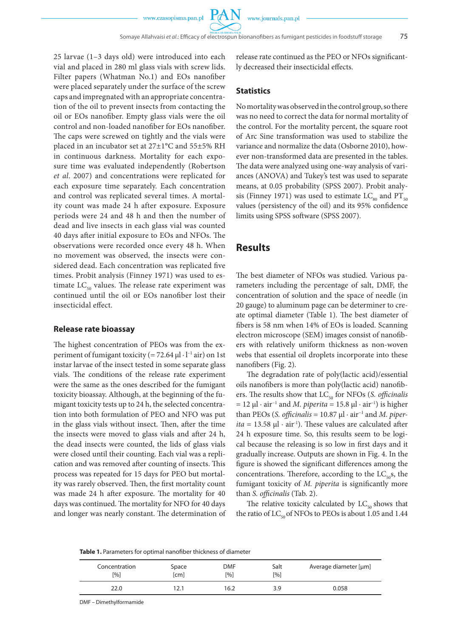Somaye Allahvaisi et al.: Efficacy of electrospun bionanofibers as fumigant pesticides in foodstuff storage 75

PAN

25 larvae (1–3 days old) were introduced into each vial and placed in 280 ml glass vials with screw lids. Filter papers (Whatman No.1) and EOs nanofiber were placed separately under the surface of the screw caps and impregnated with an appropriate concentration of the oil to prevent insects from contacting the oil or EOs nanofiber. Empty glass vials were the oil control and non-loaded nanofiber for EOs nanofiber. The caps were screwed on tightly and the vials were placed in an incubator set at 27±1°C and 55±5% RH in continuous darkness. Mortality for each exposure time was evaluated independently (Robertson *et al*. 2007) and concentrations were replicated for each exposure time separately. Each concentration and control was replicated several times. A mortality count was made 24 h after exposure. Exposure periods were 24 and 48 h and then the number of dead and live insects in each glass vial was counted 40 days after initial exposure to EOs and NFOs. The observations were recorded once every 48 h. When no movement was observed, the insects were considered dead. Each concentration was replicated five times. Probit analysis (Finney 1971) was used to estimate  $LC_{50}$  values. The release rate experiment was continued until the oil or EOs nanofiber lost their insecticidal effect.

#### **Release rate bioassay**

The highest concentration of PEOs was from the experiment of fumigant toxicity (=  $72.64 \mu l \cdot l^{-1}$  air) on 1st instar larvae of the insect tested in some separate glass vials. The conditions of the release rate experiment were the same as the ones described for the fumigant toxicity bioassay. Although, at the beginning of the fumigant toxicity tests up to 24 h, the selected concentration into both formulation of PEO and NFO was put in the glass vials without insect. Then, after the time the insects were moved to glass vials and after 24 h, the dead insects were counted, the lids of glass vials were closed until their counting. Each vial was a replication and was removed after counting of insects. This process was repeated for 15 days for PEO but mortality was rarely observed. Then, the first mortality count was made 24 h after exposure. The mortality for 40 days was continued. The mortality for NFO for 40 days and longer was nearly constant. The determination of release rate continued as the PEO or NFOs significantly decreased their insecticidal effects.

#### **Statistics**

No mortality was observed in the control group, so there was no need to correct the data for normal mortality of the control. For the mortality percent, the square root of Arc Sine transformation was used to stabilize the variance and normalize the data (Osborne 2010), however non-transformed data are presented in the tables. The data were analyzed using one-way analysis of variances (ANOVA) and Tukey's test was used to separate means, at 0.05 probability (SPSS 2007). Probit analysis (Finney 1971) was used to estimate  $LC_{\text{so}}$  and  $PT_{50}$ values (persistency of the oil) and its 95% confidence limits using SPSS software (SPSS 2007).

### **Results**

The best diameter of NFOs was studied. Various parameters including the percentage of salt, DMF, the concentration of solution and the space of needle (in 20 gauge) to aluminum page can be determiner to create optimal diameter (Table 1). The best diameter of fibers is 58 nm when 14% of EOs is loaded. Scanning electron microscope (SEM) images consist of nanofibers with relatively uniform thickness as non-woven webs that essential oil droplets incorporate into these nanofibers (Fig. 2).

The degradation rate of poly(lactic acid)/essential oils nanofibers is more than poly(lactic acid) nanofibers. The results show that LC<sub>50</sub> for NFOs (*S. officinalis*  $= 12 \mu l \cdot air^{-1}$  and *M. piperita* = 15.8  $\mu l \cdot air^{-1}$ ) is higher than PEOs (*S. officinalis* = 10.87  $\mu$ l · air<sup>-1</sup> and *M. piper* $ita = 13.58 \mu l \cdot air^{-1}$ ). These values are calculated after 24 h exposure time. So, this results seem to be logical because the releasing is so low in first days and it gradually increase. Outputs are shown in Fig. 4. In the figure is showed the significant differences among the concentrations. Therefore, according to the  $LC_{50}$ s, the fumigant toxicity of *M. piperita* is significantly more than *S. officinalis* (Tab. 2).

The relative toxicity calculated by  $LC_{50}$  shows that the ratio of  $LC_{50}$  of NFOs to PEOs is about 1.05 and 1.44

Table 1. Parameters for optimal nanofiber thickness of diameter

| Concentration | Space | <b>DMF</b> | Salt               | Average diameter [µm] |
|---------------|-------|------------|--------------------|-----------------------|
| [%]           | [cm]  | r%1        | $\lceil 96 \rceil$ |                       |
| 22.0          | 12.1  | 16.2       | 3.9                | 0.058                 |

DMF – Dimethylformamide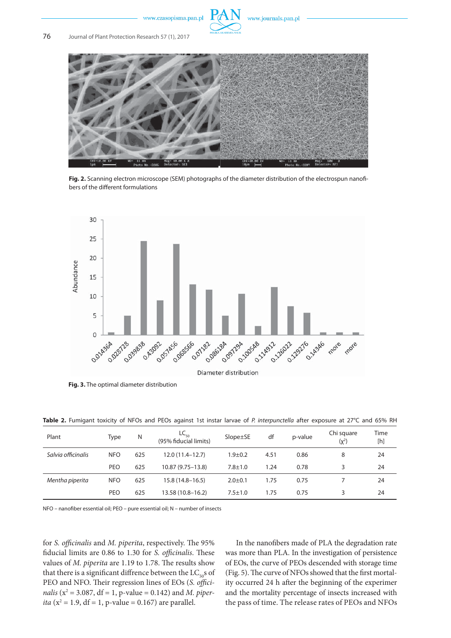



Fig. 2. Scanning electron microscope (SEM) photographs of the diameter distribution of the electrospun nanofibers of the different formulations



**Fig. 3.** The optimal diameter distribution

Table 2. Fumigant toxicity of NFOs and PEOs against 1st instar larvae of P. interpunctella after exposure at 27°C and 65% RH

| Plant              | Type       | N   | $LC_{50}$<br>(95% fiducial limits) | $Slope \pm SE$ | df   | p-value | Chi square<br>$(x^2)$ | Time<br>[h] |
|--------------------|------------|-----|------------------------------------|----------------|------|---------|-----------------------|-------------|
| Salvia officinalis | <b>NFO</b> | 625 | $12.0(11.4-12.7)$                  | $1.9 + 0.2$    | 4.51 | 0.86    | 8                     | 24          |
|                    | <b>PEO</b> | 625 | 10.87 (9.75 - 13.8)                | $7.8 \pm 1.0$  | 1.24 | 0.78    |                       | 24          |
| Mentha piperita    | <b>NFO</b> | 625 | $15.8(14.8 - 16.5)$                | $2.0 + 0.1$    | 1.75 | 0.75    |                       | 24          |
|                    | <b>PEO</b> | 625 | 13.58 (10.8-16.2)                  | $7.5 \pm 1.0$  | 1.75 | 0.75    |                       | 24          |

NFO – nanofiber essential oil; PEO – pure essential oil; N – number of insects

for *S. officinalis* and *M. piperita*, respectively. The 95% fiducial limits are 0.86 to 1.30 for *S. officinalis*. These values of *M. piperita* are 1.19 to 1.78. The results show that there is a significant diffrence between the  $LC_{50}$ s of PEO and NFO. Their regression lines of EOs (S. offici*nalis* ( $x^2 = 3.087$ , df = 1, p-value = 0.142) and *M. piperita* ( $x^2 = 1.9$ , df = 1, p-value = 0.167) are parallel.

In the nanofibers made of PLA the degradation rate was more than PLA. In the investigation of persistence of EOs, the curve of PEOs descended with storage time (Fig. 5). The curve of NFOs showed that the first mortality occurred 24 h after the beginning of the experimer and the mortality percentage of insects increased with the pass of time. The release rates of PEOs and NFOs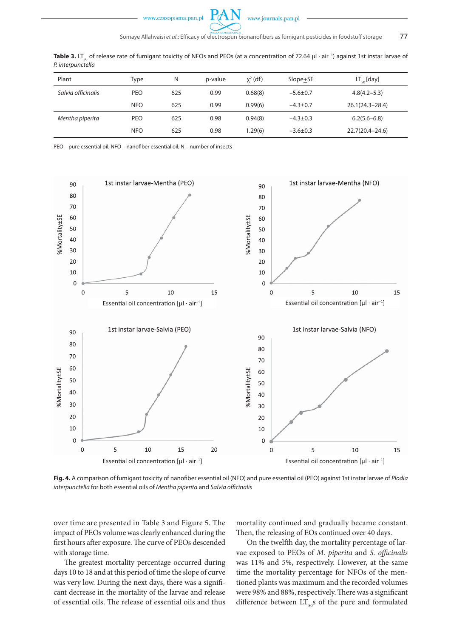

Table 3. LT<sub>50</sub> of release rate of fumigant toxicity of NFOs and PEOs (at a concentration of 72.64 μl · air<sup>-1</sup>) against 1st instar larvae of P. interpunctella

| Plant              | Type       | N   | p-value | $x^2$ (df) | Slope+SE       | $LT_{50}$ [day]     |
|--------------------|------------|-----|---------|------------|----------------|---------------------|
| Salvia officinalis | <b>PEO</b> | 625 | 0.99    | 0.68(8)    | $-5.6 \pm 0.7$ | $4.8(4.2 - 5.3)$    |
|                    | <b>NFO</b> | 625 | 0.99    | 0.99(6)    | $-4.3 \pm 0.7$ | $26.1(24.3 - 28.4)$ |
| Mentha piperita    | <b>PEO</b> | 625 | 0.98    | 0.94(8)    | $-4.3 \pm 0.3$ | $6.2(5.6 - 6.8)$    |
|                    | <b>NFO</b> | 625 | 0.98    | 1.29(6)    | $-3.6 \pm 0.3$ | $22.7(20.4 - 24.6)$ |

PEO – pure essential oil; NFO – nanofiber essential oil; N – number of insects



Fig. 4. A comparison of fumigant toxicity of nanofiber essential oil (NFO) and pure essential oil (PEO) against 1st instar larvae of Plodia interpunctella for both essential oils of Mentha piperita and Salvia officinalis

over time are presented in Table 3 and Figure 5. The impact of PEOs volume was clearly enhanced during the first hours after exposure. The curve of PEOs descended with storage time.

The greatest mortality percentage occurred during days 10 to 18 and at this period of time the slope of curve was very low. During the next days, there was a significant decrease in the mortality of the larvae and release of essential oils. The release of essential oils and thus

mortality continued and gradually became constant. Then, the releasing of EOs continued over 40 days.

On the twelfth day, the mortality percentage of larvae exposed to PEOs of *M. piperita* and *S. officinalis* was 11% and 5%, respectively. However, at the same time the mortality percentage for NFOs of the mentioned plants was maximum and the recorded volumes were 98% and 88%, respectively. There was a significant difference between  $LT_{50}$ s of the pure and formulated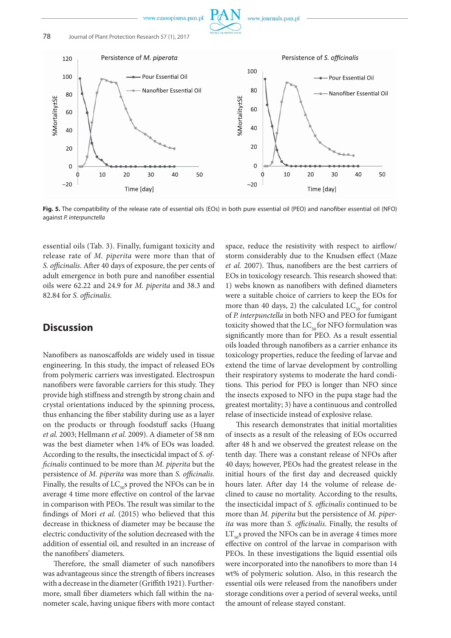



Fig. 5. The compatibility of the release rate of essential oils (EOs) in both pure essential oil (PEO) and nanofiber essential oil (NFO) against P. interpunctella

essential oils (Tab. 3). Finally, fumigant toxicity and release rate of *M. piperita* were more than that of *S. officinalis.* After 40 days of exposure, the per cents of adult emergence in both pure and nanofiber essential oils were 62.22 and 24.9 for *M. piperita* and 38.3 and 82.84 for *S. officinalis*.

## **Discussion**

Nanofibers as nanoscaffolds are widely used in tissue engineering. In this study, the impact of released EOs from polymeric carriers was investigated. Electrospun nanofibers were favorable carriers for this study. They provide high stiffness and strength by strong chain and crystal orientations induced by the spinning process, thus enhancing the fiber stability during use as a layer on the products or through foodstuff sacks (Huang *et al.* 2003; Hellmann *et al.* 2009). A diameter of 58 nm was the best diameter when 14% of EOs was loaded. According to the results, the insecticidal impact of *S. officinalis* continued to be more than *M. piperita* but the persistence of *M. piperita* was more than *S. officinalis.* Finally, the results of  $LC_{50}$ s proved the NFOs can be in average 4 time more effective on control of the larvae in comparison with PEOs. The result was similar to the findings of Mori *et al.* (2015) who believed that this decrease in thickness of diameter may be because the electric conductivity of the solution decreased with the addition of essential oil, and resulted in an increase of the nanofibers' diameters.

Therefore, the small diameter of such nanofibers was advantageous since the strength of fibers increases with a decrease in the diameter (Griffith 1921). Furthermore, small fiber diameters which fall within the nanometer scale, having unique fibers with more contact space, reduce the resistivity with respect to airflow/ storm considerably due to the Knudsen effect (Maze *et al.* 2007). Thus, nanofibers are the best carriers of EOs in toxicology research. This research showed that: 1) webs known as nanofibers with defined diameters were a suitable choice of carriers to keep the EOs for more than 40 days, 2) the calculated  $LC_{50}$  for control of *P. interpunctella* in both NFO and PEO for fumigant toxicity showed that the  $LC_{50}$  for NFO formulation was significantly more than for PEO. As a result essential oils loaded through nanofibers as a carrier enhance its toxicology properties, reduce the feeding of larvae and extend the time of larvae development by controlling their respiratory systems to moderate the hard conditions. This period for PEO is longer than NFO since the insects exposed to NFO in the pupa stage had the greatest mortality; 3) have a continuous and controlled relase of insecticide instead of explosive relase.

This research demonstrates that initial mortalities of insects as a result of the releasing of EOs occurred after 48 h and we observed the greatest release on the tenth day. There was a constant release of NFOs after 40 days; however, PEOs had the greatest release in the initial hours of the first day and decreased quickly hours later. After day 14 the volume of release declined to cause no mortality. According to the results, the insecticidal impact of *S. officinalis* continued to be more than *M. piperita* but the persistence of *M. piperita* was more than *S. officinalis*. Finally, the results of  $LT<sub>50</sub>$ s proved the NFOs can be in average 4 times more effective on control of the larvae in comparison with PEOs. In these investigations the liquid essential oils were incorporated into the nanofibers to more than 14 wt% of polymeric solution. Also, in this research the essential oils were released from the nanofibers under storage conditions over a period of several weeks, until the amount of release stayed constant.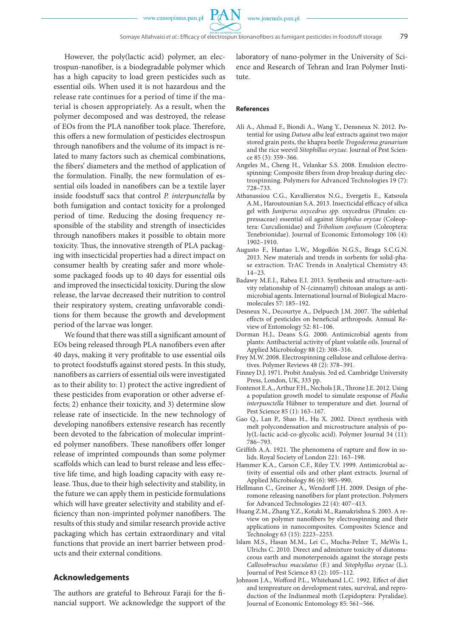PAN

However, the poly(lactic acid) polymer, an electrospun-nanofiber, is a biodegradable polymer which has a high capacity to load green pesticides such as essential oils. When used it is not hazardous and the release rate continues for a period of time if the material is chosen appropriately. As a result, when the polymer decomposed and was destroyed, the release of EOs from the PLA nanofiber took place. Therefore, this offers a new formulation of pesticides electrospun through nanofibers and the volume of its impact is related to many factors such as chemical combinations, the fibers' diameters and the method of application of the formulation. Finally, the new formulation of essential oils loaded in nanofibers can be a textile layer inside foodstuff sacs that control *P. interpunctella* by both fumigation and contact toxicity for a prolonged period of time. Reducing the dosing frequency responsible of the stability and strength of insecticides through nanofibers makes it possible to obtain more toxicity. Thus, the innovative strength of PLA packaging with insecticidal properties had a direct impact on consumer health by creating safer and more wholesome packaged foods up to 40 days for essential oils and improved the insecticidal toxicity. During the slow release, the larvae decreased their nutrition to control their respiratory system, creating unfavorable conditions for them because the growth and development period of the larvae was longer.

We found that there was still a significant amount of EOs being released through PLA nanofibers even after 40 days, making it very profitable to use essential oils to protect foodstuffs against stored pests. In this study, nanofibers as carriers of essential oils were investigated as to their ability to: 1) protect the active ingredient of these pesticides from evaporation or other adverse effects; 2) enhance their toxicity, and 3) determine slow release rate of insecticide. In the new technology of developing nanofibers extensive research has recently been devoted to the fabrication of molecular imprinted polymer nanofibers. These nanofibers offer longer release of imprinted compounds than some polymer scaffolds which can lead to burst release and less effective life time, and high loading capacity with easy release. Thus, due to their high selectivity and stability, in the future we can apply them in pesticide formulations which will have greater selectivity and stability and efficiency than non-imprinted polymer nanofibers. The results of this study and similar research provide active packaging which has certain extraordinary and vital functions that provide an inert barrier between products and their external conditions.

#### **Acknowledgements**

The authors are grateful to Behrouz Faraji for the financial support. We acknowledge the support of the laboratory of nano-polymer in the University of Science and Research of Tehran and Iran Polymer Institute.

#### **References**

- Ali A., Ahmad F., Biondi A., Wang Y., Densneux N. 2012. Potential for using *Datura alba* leaf extracts against two major stored grain pests, the khapra beetle *Trogoderma granarium*  and the rice weevil *Sitophillus oryzae*. Journal of Pest Science 85 (3): 359–366.
- Angeles M., Cheng H., Velankar S.S. 2008. Emulsion electrospinning: Composite fibers from drop breakup during electrospinning. Polymers for Advanced Technologies 19 (7): 728–733.
- Athanassiou C.G., Kavallieratos N.G., Evergetis E., Katsoula A.M., Haroutounian S.A. 2013. Insecticidal efficacy of silica gel with *Juniperus oxycedrus spp.* oxycedrus (Pinales: cupressaceae) essential oil against *Sitophilus oryzae* (Coleoptera: Curculionidae) and *Tribolium confusum* (Coleoptera: Tenebrionidae). Journal of Economic Entomology 106 (4): 1902–1910.
- Augusto F., Hantao L.W., Mogollón N.G.S., Braga S.C.G.N. 2013. New materials and trends in sorbents for solid-phase extraction. TrAC Trends in Analytical Chemistry 43: 14−23.
- Badawy M.E.I., Rabea E.I. 2013. Synthesis and structure–activity relationship of N-(cinnamyl) chitosan analogs as antimicrobial agents. International Journal of Biological Macromolecules 57: 185–192.
- Desneux N., Decourtye A., Delpuech J.M. 2007. The sublethal effects of pesticides on beneficial arthropods. Annual Review of Entomology 52: 81–106.
- Dorman H.J., Deans S.G. 2000. Antimicrobial agents from plants: Antibacterial activity of plant volatile oils. Journal of Applied Microbiology 88 (2): 308–316.
- Frey M.W. 2008. Electrospinning cellulose and cellulose derivatives. Polymer Reviews 48 (2): 378–391.
- Finney D.J. 1971. Probit Analysis. 3rd ed. Cambridge University Press, London, UK, 333 pp.
- Fontenot E.A., Arthur F.H., Nechols J.R., Throne J.E. 2012. Using a population growth model to simulate response of *Plodia interpunctella* Hübner to temperature and diet. Journal of Pest Science 85 (1): 163–167.
- Gao Q., Lan P., Shao H., Hu X. 2002. Direct synthesis with melt polycondensation and microstructure analysis of poly(L-lactic acid-co-glycolic acid). Polymer Journal 34 (11): 786−793.
- Griffith A.A. 1921. The phenomena of rapture and flow in solids. Royal Society of London 221: 163–198.
- Hammer K.A., Carson C.F., Riley T.V. 1999. Antimicrobial activity of essential oils and other plant extracts. Journal of Applied Microbiology 86 (6): 985–990.
- Hellmann C., Greiner A., Wendorff J.H. 2009. Design of pheromone releasing nanofibers for plant protection. Polymers for Advanced Technologies 22 (4): 407−413.
- Huang Z.M., Zhang Y.Z., Kotaki M., Ramakrishna S. 2003. A review on polymer nanofibers by electrospinning and their applications in nanocomposites. Composites Science and Technology 63 (15): 2223–2253.
- Islam M.S., Hasan M.M., Lei C., Mucha-Pelzer T., MeWis I., Ulrichs C. 2010. Direct and admixture toxicity of diatomaceous earth and monoterpenoids against the storage pests *Callosobruchus maculatus* (F.) and *Sitophyllus oryzae* (L.). Journal of Pest Science 83 (2): 105−112.
- Johnson J.A., Wofford P.L., Whitehand L.C. 1992. Effect of diet and tempreature on development rates, survival, and reproduction of the Indianmeal moth (Lepidoptera: Pyralidae). Journal of Economic Entomology 85: 561−566.